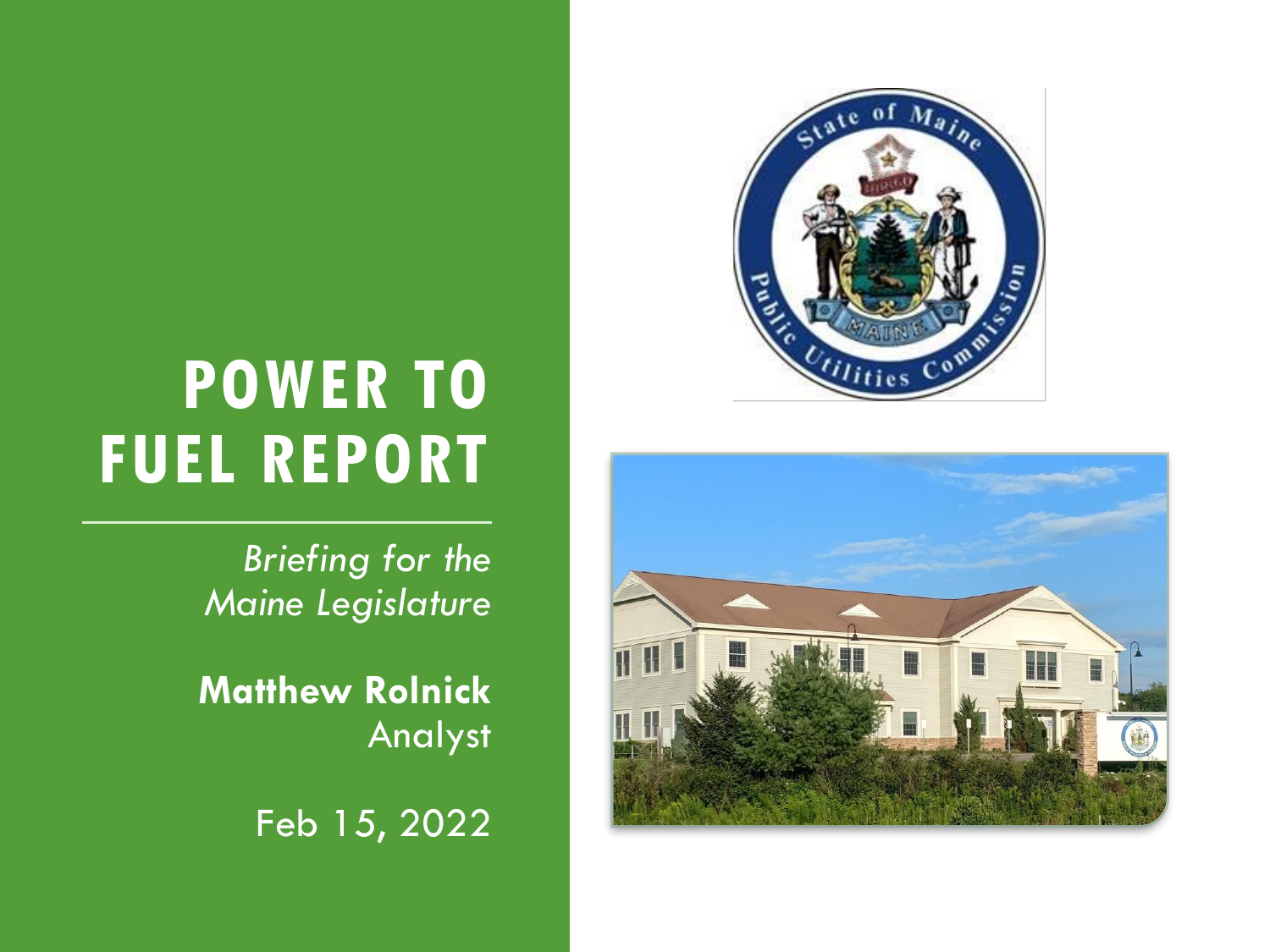



*Briefing for the Maine Legislature*

**Matthew Rolnick** Analyst

Feb 15, 2022

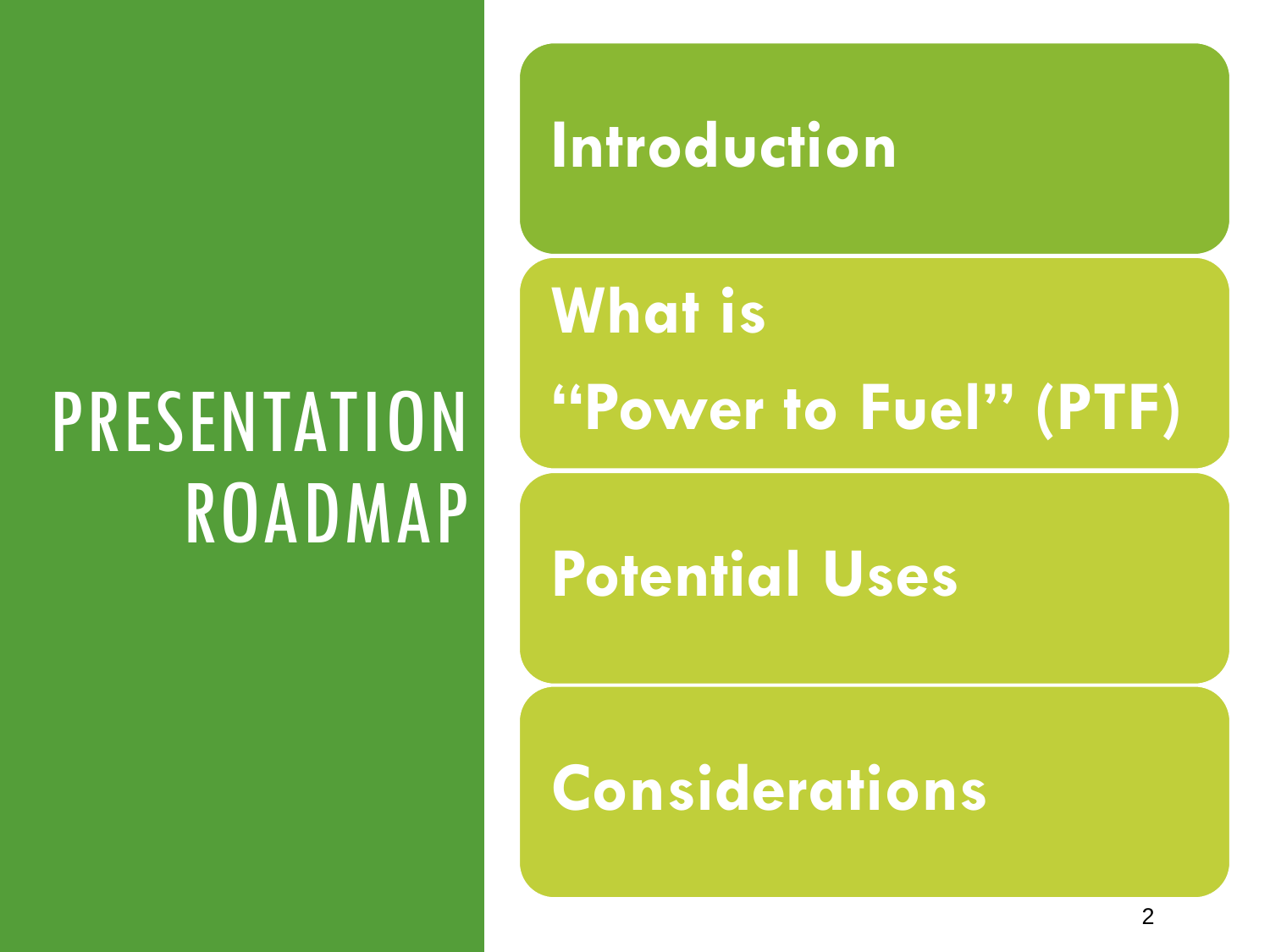# PRESENTATION ROADMAP

**Introduction**

**What is "Power to Fuel" (PTF)**

**Potential Uses**

**Considerations**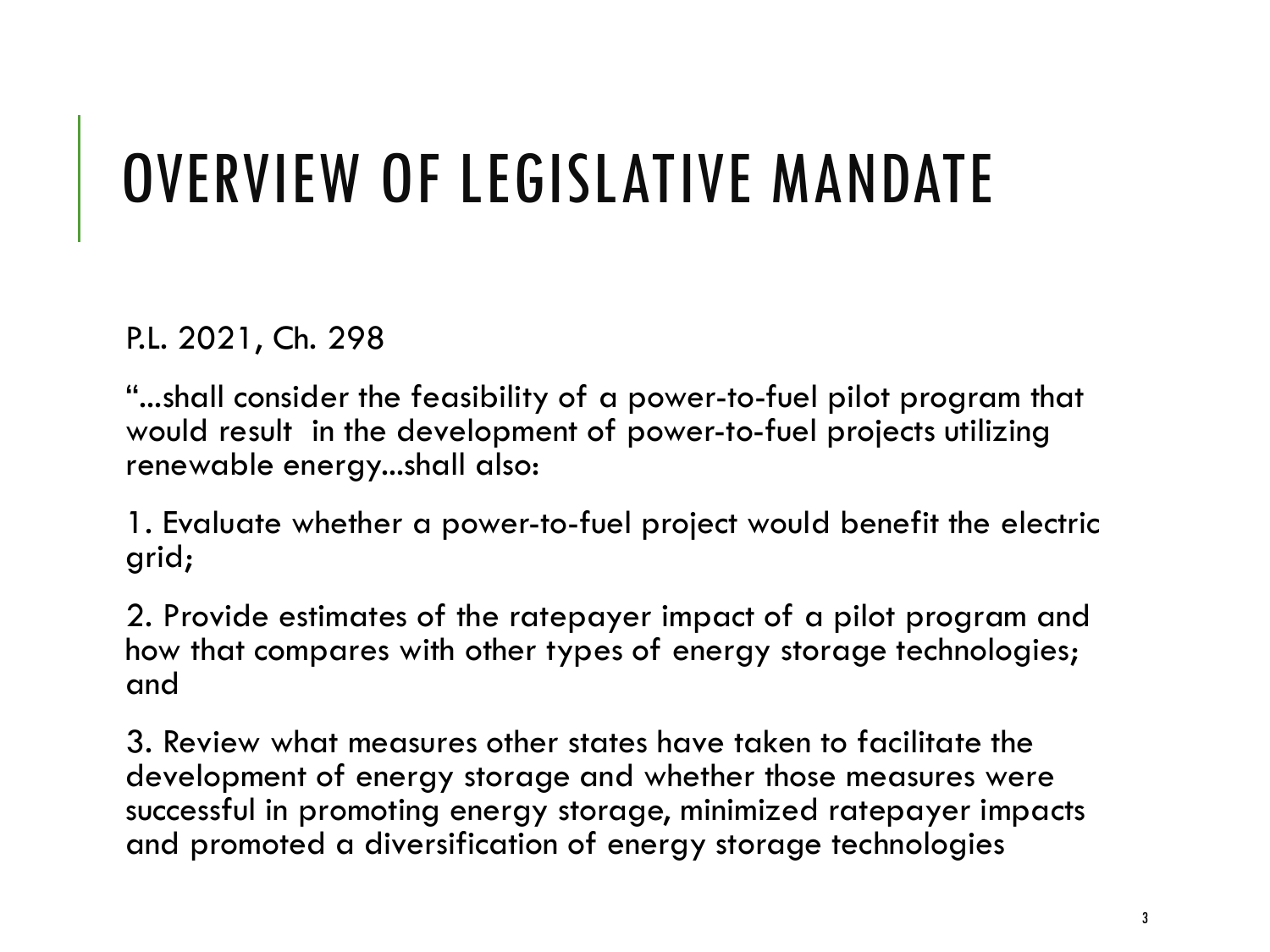### OVERVIEW OF LEGISLATIVE MANDATE

P.L. 2021, Ch. 298

"...shall consider the feasibility of a power-to-fuel pilot program that would result in the development of power-to-fuel projects utilizing renewable energy...shall also:

1. Evaluate whether a power-to-fuel project would benefit the electric grid;

2. Provide estimates of the ratepayer impact of a pilot program and how that compares with other types of energy storage technologies; and

3. Review what measures other states have taken to facilitate the development of energy storage and whether those measures were successful in promoting energy storage, minimized ratepayer impacts and promoted a diversification of energy storage technologies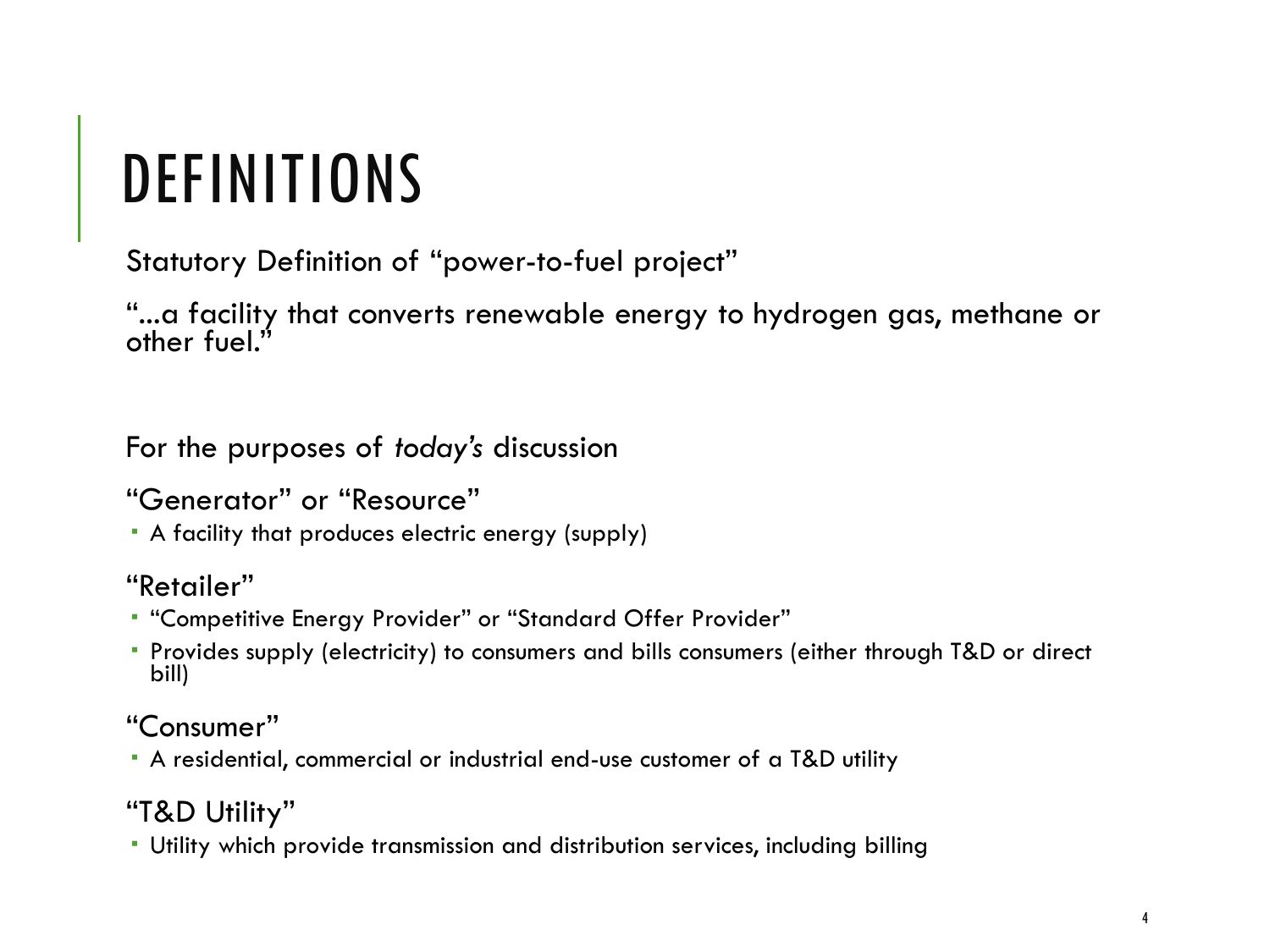### DEFINITIONS

Statutory Definition of "power-to-fuel project"

"...a facility that converts renewable energy to hydrogen gas, methane or other fuel."

For the purposes of *today's* discussion

"Generator" or "Resource"

A facility that produces electric energy (supply)

"Retailer"

- "Competitive Energy Provider" or "Standard Offer Provider"
- Provides supply (electricity) to consumers and bills consumers (either through T&D or direct bill)

"Consumer"

A residential, commercial or industrial end-use customer of a T&D utility

"T&D Utility"

Utility which provide transmission and distribution services, including billing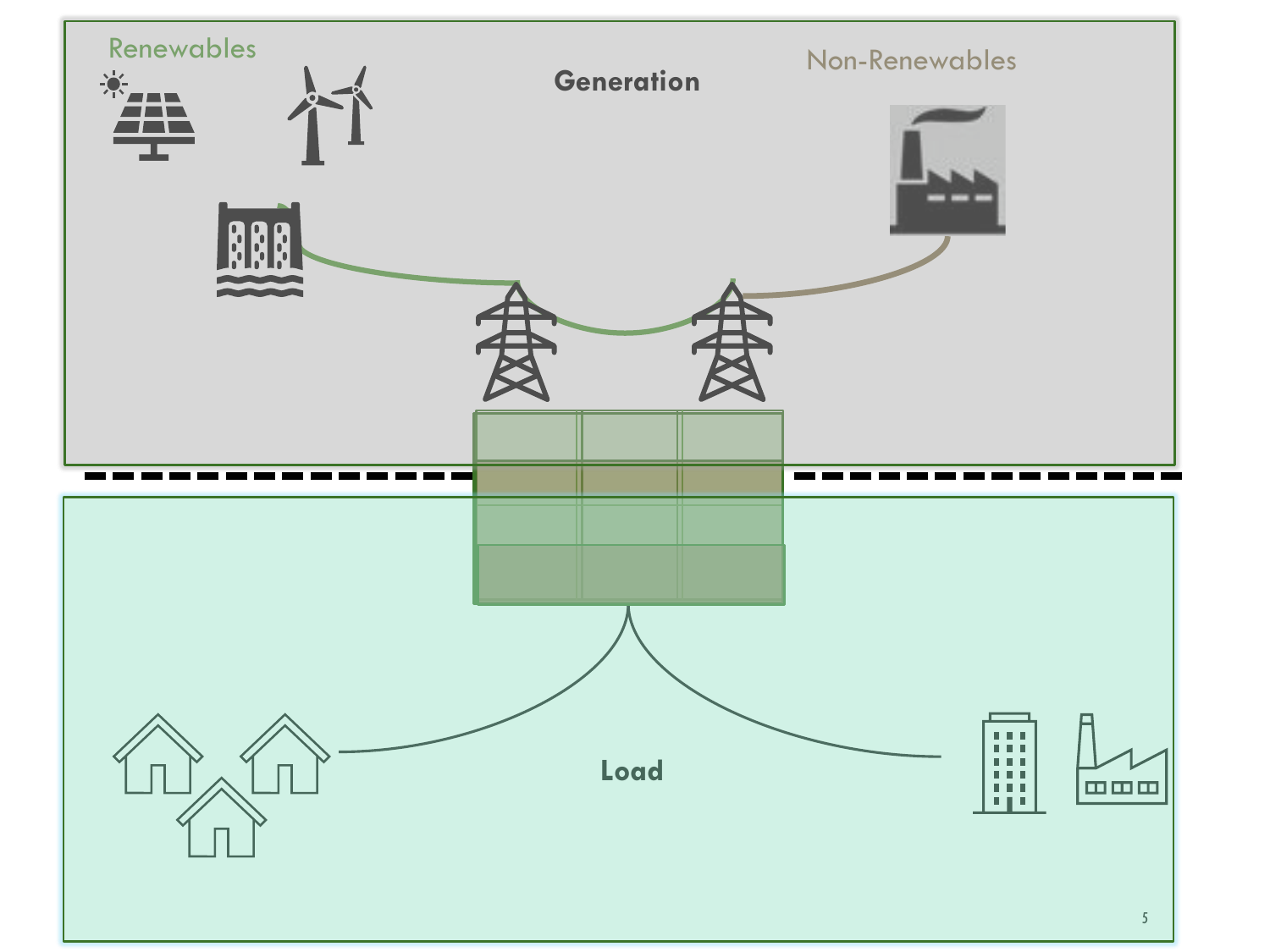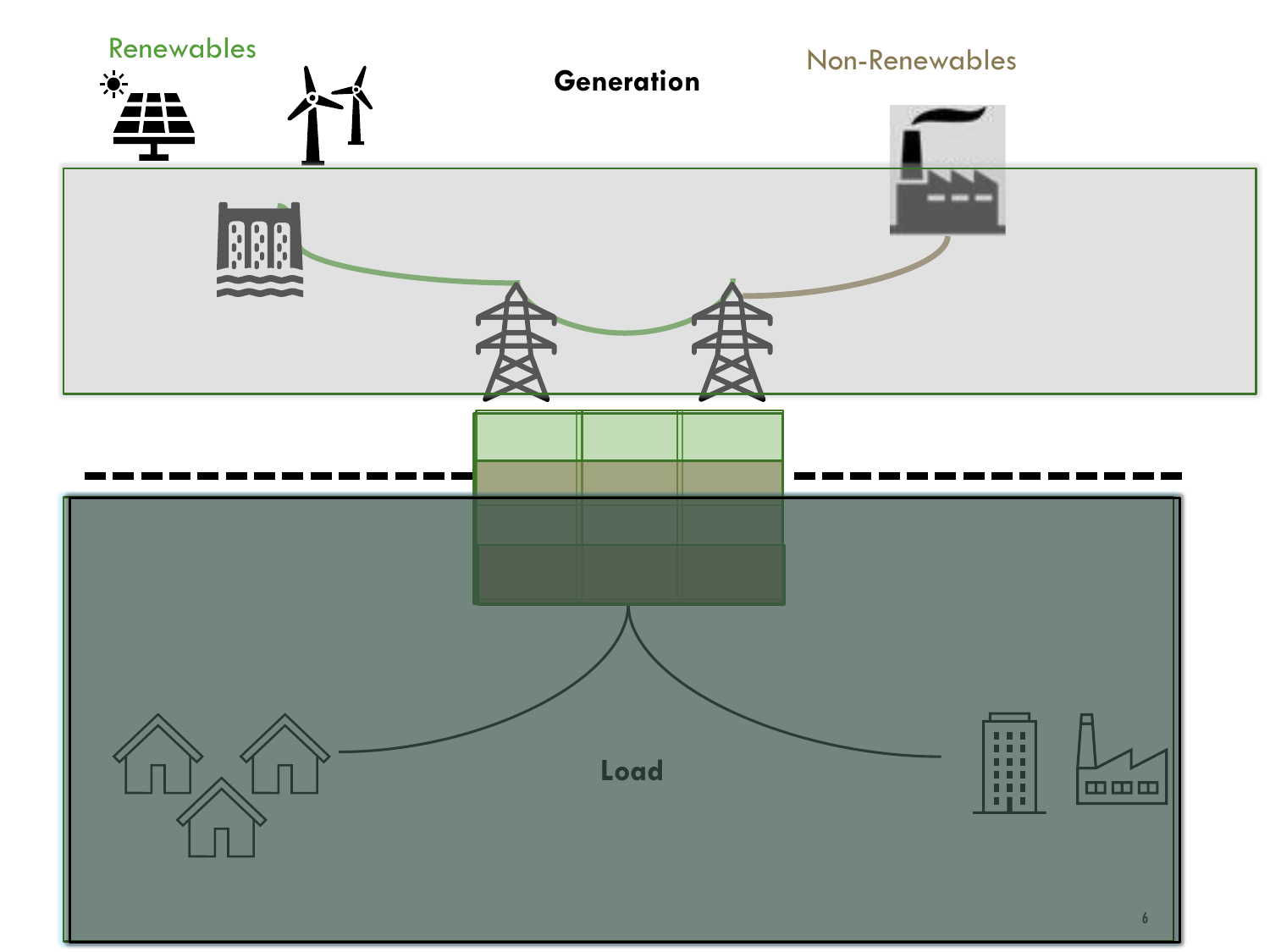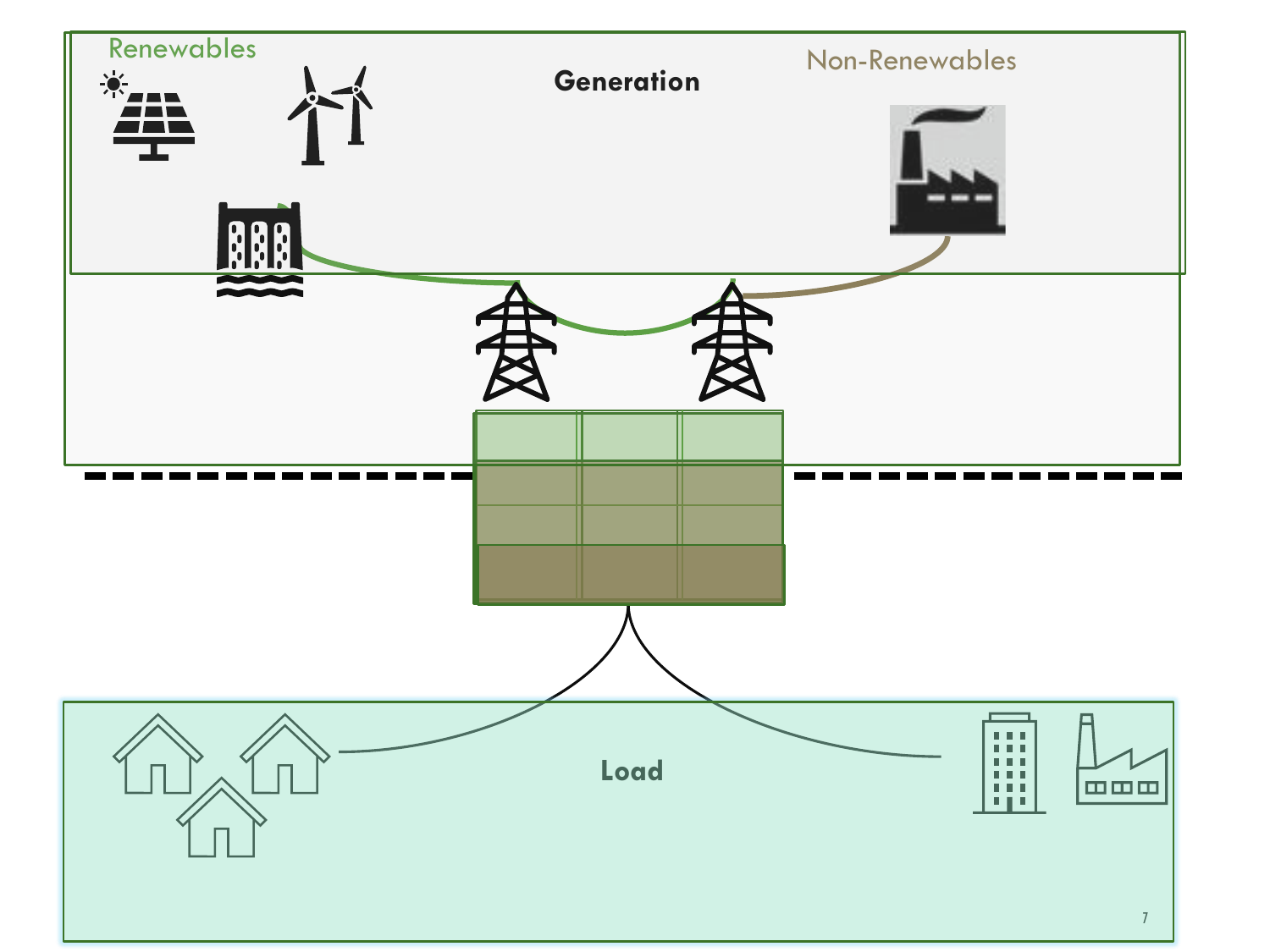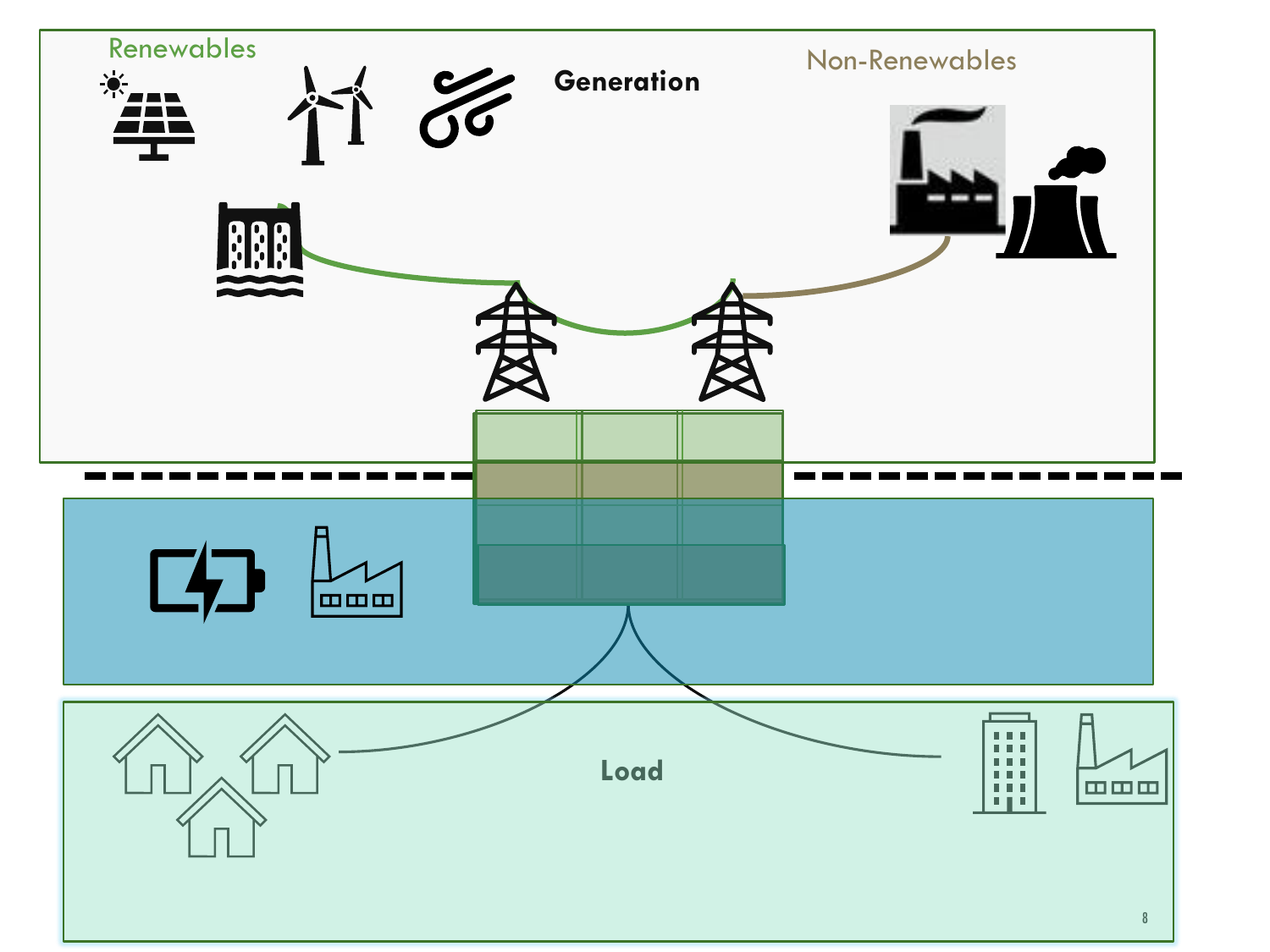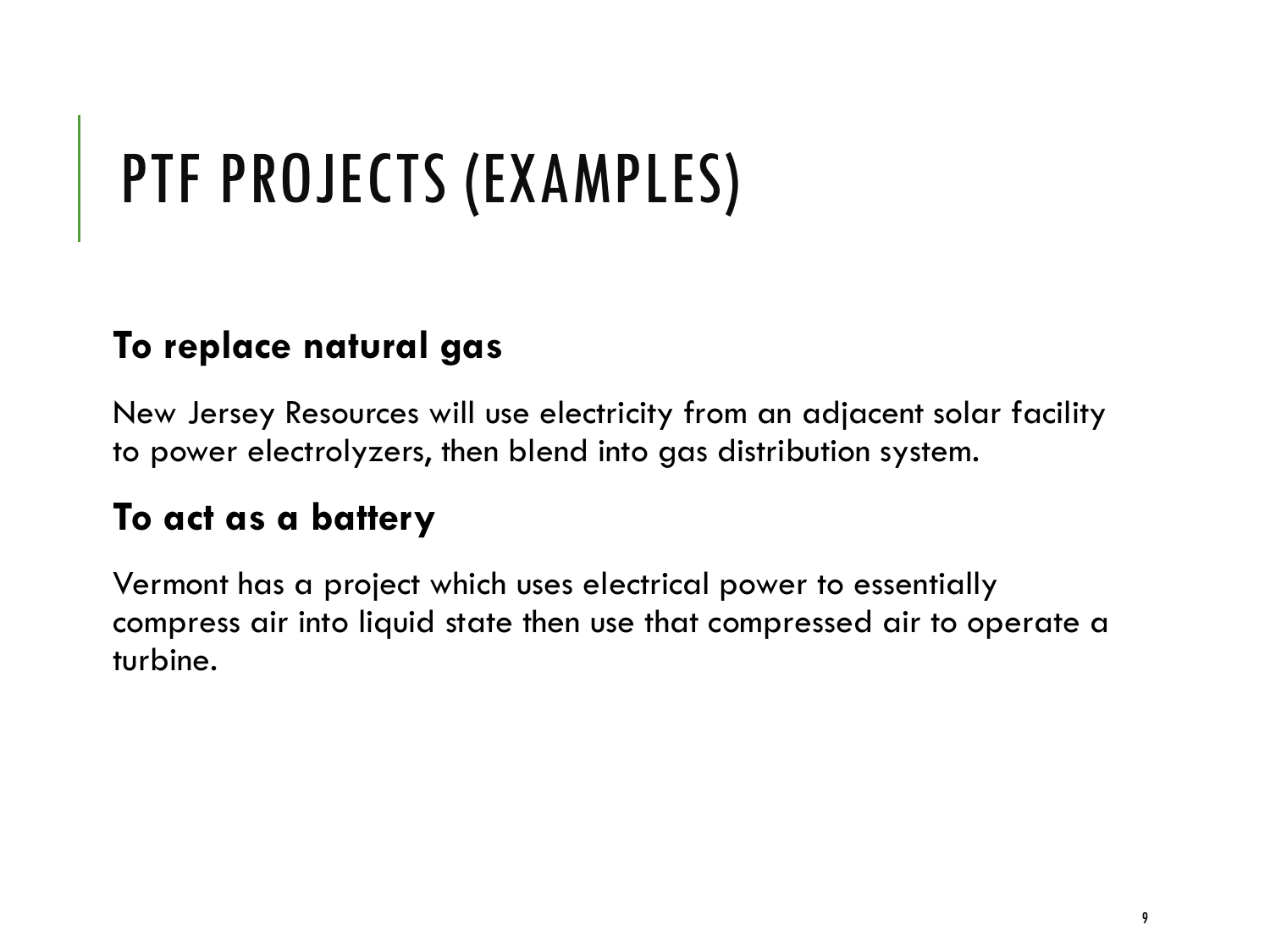## PTF PROJECTS (EXAMPLES)

#### **To replace natural gas**

New Jersey Resources will use electricity from an adjacent solar facility to power electrolyzers, then blend into gas distribution system.

#### **To act as a battery**

Vermont has a project which uses electrical power to essentially compress air into liquid state then use that compressed air to operate a turbine.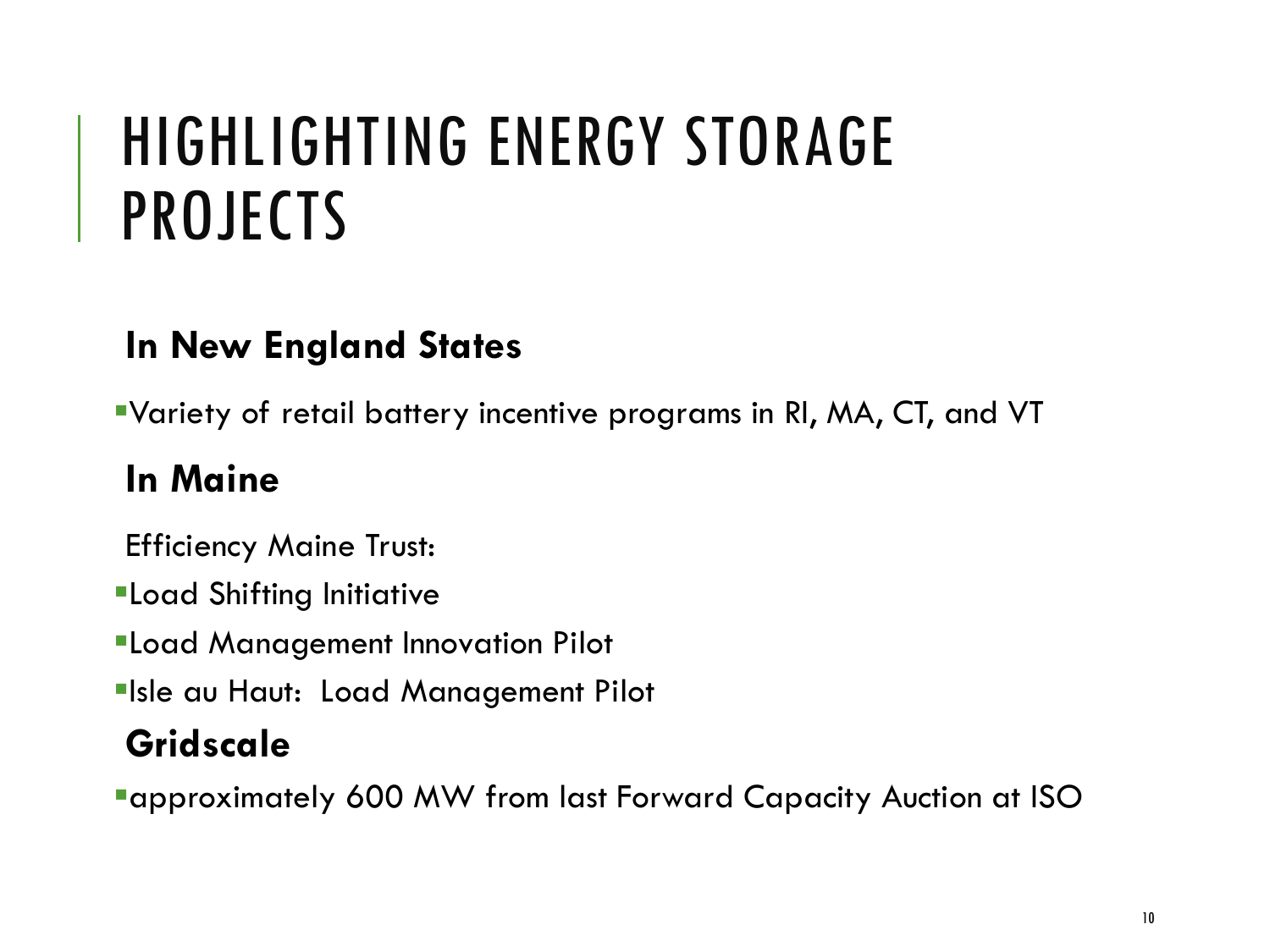### HIGHLIGHTING ENERGY STORAGE PROJECTS

#### **In New England States**

▪Variety of retail battery incentive programs in RI, MA, CT, and VT

#### **In Maine**

Efficiency Maine Trust:

**ELoad Shifting Initiative** 

*<u>Eload Management Innovation Pilot</u>* 

**Elsle au Haut: Load Management Pilot** 

#### **Gridscale**

**Example 100 Taggle 100 MW from last Forward Capacity Auction at ISO**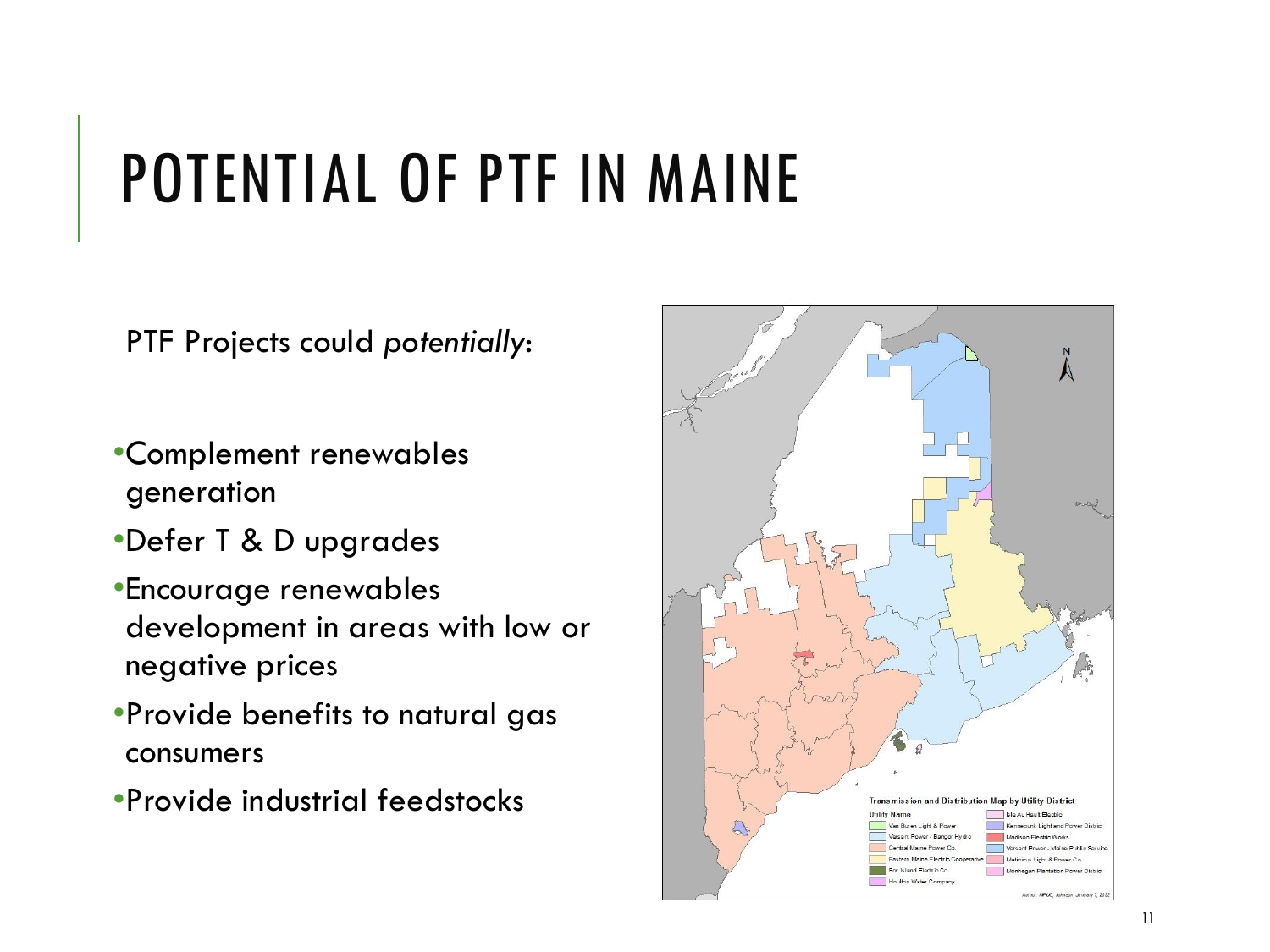### POTENTIAL OF PTF IN MAINE

PTF Projects could *potentially*:

- •Complement renewables generation
- •Defer T & D upgrades
- •Encourage renewables development in areas with low or negative prices
- •Provide benefits to natural gas consumers
- •Provide industrial feedstocks

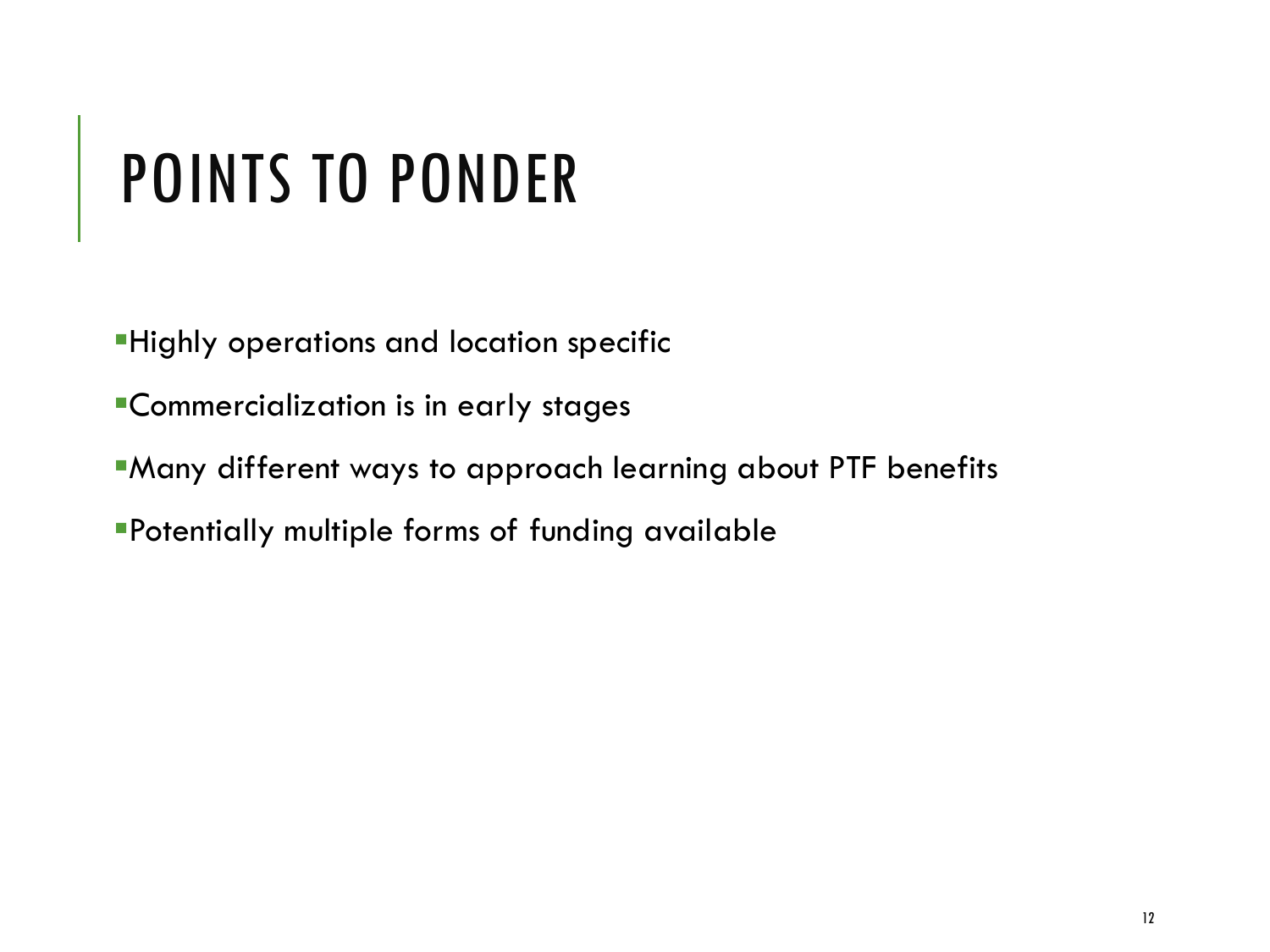### POINTS TO PONDER

- **Highly operations and location specific**
- **•Commercialization is in early stages**
- *Kany different ways to approach learning about PTF benefits*
- **Potentially multiple forms of funding available**